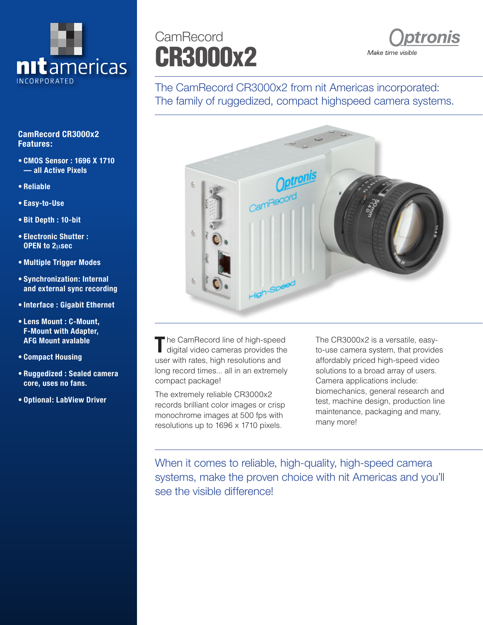

## **CamRecord CR3000x2 Features:**

- **• CMOS Sensor : 1696 X 1710 — all Active Pixels**
- **• Reliable**
- **• Easy-to-Use**
- **• Bit Depth : 10-bit**
- **• Electronic Shutter : OPEN to 2**μ**sec**
- **• Multiple Trigger Modes**
- **• Synchronization: Internal and external sync recording**
- **• Interface : Gigabit Ethernet**
- **• Lens Mount : C-Mount, F-Mount with Adapter, AFG Mount avalable**
- **• Compact Housing**
- **• Ruggedized : Sealed camera core, uses no fans.**
- **• Optional: LabView Driver**

## CR3000x2 **CamRecord**



The CamRecord CR3000x2 from nit Americas incorporated: The family of ruggedized, compact highspeed camera systems.



**The CamRecord line of high-speed** digital video cameras provides the user with rates, high resolutions and long record times... all in an extremely compact package!

The extremely reliable CR3000x2 records brilliant color images or crisp monochrome images at 500 fps with resolutions up to 1696 x 1710 pixels.

The CR3000x2 is a versatile, easyto-use camera system, that provides affordably priced high-speed video solutions to a broad array of users. Camera applications include: biomechanics, general research and test, machine design, production line maintenance, packaging and many, many more!

When it comes to reliable, high-quality, high-speed camera systems, make the proven choice with nit Americas and you'll see the visible difference!